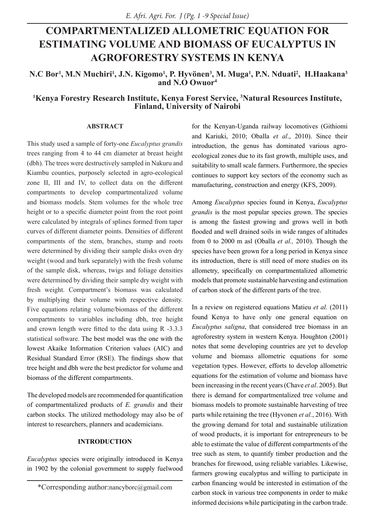# **COMPARTMENTALIZED ALLOMETRIC EQUATION FOR ESTIMATING VOLUME AND BIOMASS OF EUCALYPTUS IN AGROFORESTRY SYSTEMS IN KENYA**

N.C Bor<sup>1</sup>, M.N Muchiri<sup>1</sup>, J.N. Kigomo<sup>1</sup>, P. Hyvönen<sup>3</sup>, M. Muga<sup>1</sup>, P.N. Nduati<sup>2</sup>, H.Haakana<sup>3</sup> **and N.O Owuor4**

# **1 Kenya Forestry Research Institute, Kenya Forest Service, 3 Natural Resources Institute, Finland, University of Nairobi**

## **ABSTRACT**

This study used a sample of forty-one *Eucalyptus grandis* trees ranging from 4 to 44 cm diameter at breast height (dbh). The trees were destructively sampled in Nakuru and Kiambu counties, purposely selected in agro-ecological zone II, III and IV, to collect data on the different compartments to develop compartmentalized volume and biomass models. Stem volumes for the whole tree height or to a specific diameter point from the root point were calculated by integrals of splines formed from taper curves of different diameter points. Densities of different compartments of the stem, branches, stump and roots were determined by dividing their sample disks oven dry weight (wood and bark separately) with the fresh volume of the sample disk, whereas, twigs and foliage densities were determined by dividing their sample dry weight with fresh weight. Compartment's biomass was calculated by multiplying their volume with respective density. Five equations relating volume/biomass of the different compartments to variables including dbh, tree height and crown length were fitted to the data using R -3.3.3 statistical software. The best model was the one with the lowest Akaike Information Criterion values (AIC) and Residual Standard Error (RSE). The findings show that tree height and dbh were the best predictor for volume and biomass of the different compartments.

The developed models are recommended for quantification of compartmentalized products of *E. grandis* and their carbon stocks. The utilized methodology may also be of interest to researchers, planners and academicians.

## **INTRODUCTION**

*Eucalyptus* species were originally introduced in Kenya in 1902 by the colonial government to supply fuelwood

for the Kenyan-Uganda railway locomotives (Githiomi and Kariuki, 2010; Oballa *et al*., 2010). Since their introduction, the genus has dominated various agroecological zones due to its fast growth, multiple uses, and suitability to small scale farmers. Furthermore, the species continues to support key sectors of the economy such as manufacturing, construction and energy (KFS, 2009).

Among *Eucalyptus* species found in Kenya, *Eucalyptus grandis* is the most popular species grown. The species is among the fastest growing and grows well in both flooded and well drained soils in wide ranges of altitudes from 0 to 2000 m asl (Oballa *et al.,* 2010). Though the species have been grown for a long period in Kenya since its introduction, there is still need of more studies on its allometry, specifically on compartmentalized allometric models that promote sustainable harvesting and estimation of carbon stock of the different parts of the tree.

In a review on registered equations Matieu *et al.* (2011) found Kenya to have only one general equation on *Eucalyptus saligna*, that considered tree biomass in an agroforestry system in western Kenya. Houghton (2001) notes that some developing countries are yet to develop volume and biomass allometric equations for some vegetation types. However, efforts to develop allometric equations for the estimation of volume and biomass have been increasing in the recent years (Chave *et al*. 2005). But there is demand for compartmentalized tree volume and biomass models to promote sustainable harvesting of tree parts while retaining the tree (Hyvonen *et al.*, 2016). With the growing demand for total and sustainable utilization of wood products, it is important for entrepreneurs to be able to estimate the value of different compartments of the tree such as stem, to quantify timber production and the branches for firewood, using reliable variables. Likewise, farmers growing eucalyptus and willing to participate in carbon financing would be interested in estimation of the carbon stock in various tree components in order to make informed decisions while participating in the carbon trade.

<sup>\*</sup>Corresponding author:nancyborc@gmail.com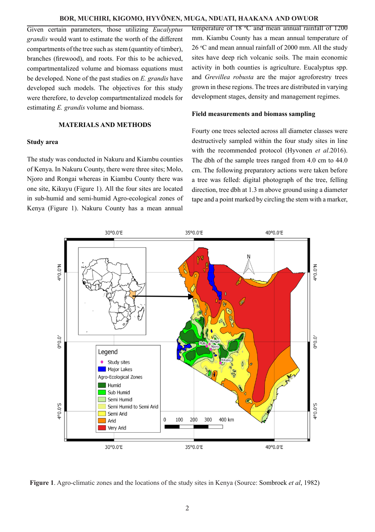#### **BOR, MUCHIRI, KIGOMO, HYVÖNEN, MUGA, NDUATI, HAAKANA AND OWUOR**

Given certain parameters, those utilizing *Eucalyptus grandis* would want to estimate the worth of the different compartments of the tree such as stem (quantity of timber), branches (firewood), and roots. For this to be achieved, compartmentalized volume and biomass equations must be developed. None of the past studies on *E. grandis* have developed such models. The objectives for this study were therefore, to develop compartmentalized models for estimating *E. grandis* volume and biomass.

## **MATERIALS AND METHODS**

#### **Study area**

The study was conducted in Nakuru and Kiambu counties of Kenya. In Nakuru County, there were three sites; Molo, Njoro and Rongai whereas in Kiambu County there was one site, Kikuyu (Figure 1). All the four sites are located in sub-humid and semi-humid Agro-ecological zones of Kenya (Figure 1). Nakuru County has a mean annual

temperature of  $18 \text{ °C}$  and mean annual rainfall of  $1200$ mm. Kiambu County has a mean annual temperature of 26 °C and mean annual rainfall of 2000 mm. All the study sites have deep rich volcanic soils. The main economic activity in both counties is agriculture. Eucalyptus spp. and *Grevillea robusta* are the major agroforestry trees grown in these regions. The trees are distributed in varying development stages, density and management regimes.

## **Field measurements and biomass sampling**

Fourty one trees selected across all diameter classes were destructively sampled within the four study sites in line with the recommended protocol (Hyvonen *et al*.2016). The dbh of the sample trees ranged from 4.0 cm to 44.0 cm. The following preparatory actions were taken before a tree was felled: digital photograph of the tree, felling direction, tree dbh at 1.3 m above ground using a diameter tape and a point marked by circling the stem with a marker,



**Figure 1**. Agro-climatic zones and the locations of the study sites in Kenya (Source: Sombroek *et al*, 1982)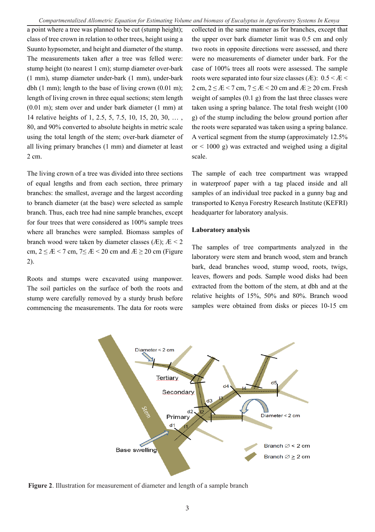a point where a tree was planned to be cut (stump height); class of tree crown in relation to other trees, height using a Suunto hypsometer, and height and diameter of the stump. The measurements taken after a tree was felled were: stump height (to nearest 1 cm); stump diameter over-bark (1 mm), stump diameter under-bark (1 mm), under-bark dbh (1 mm); length to the base of living crown (0.01 m); length of living crown in three equal sections; stem length (0.01 m); stem over and under bark diameter (1 mm) at 14 relative heights of 1, 2.5, 5, 7.5, 10, 15, 20, 30, … , 80, and 90% converted to absolute heights in metric scale using the total length of the stem; over-bark diameter of all living primary branches (1 mm) and diameter at least 2 cm.

The living crown of a tree was divided into three sections of equal lengths and from each section, three primary branches: the smallest, average and the largest according to branch diameter (at the base) were selected as sample branch. Thus, each tree had nine sample branches, except for four trees that were considered as 100% sample trees where all branches were sampled. Biomass samples of branch wood were taken by diameter classes  $(E)$ ;  $E < 2$ cm,  $2 \leq E \leq 7$  cm,  $7 \leq E \leq 20$  cm and  $E \geq 20$  cm (Figure 2).

Roots and stumps were excavated using manpower. The soil particles on the surface of both the roots and stump were carefully removed by a sturdy brush before commencing the measurements. The data for roots were

collected in the same manner as for branches, except that the upper over bark diameter limit was 0.5 cm and only two roots in opposite directions were assessed, and there were no measurements of diameter under bark. For the case of 100% trees all roots were assessed. The sample roots were separated into four size classes (Æ):  $0.5 \leq E \leq$ 2 cm,  $2 \leq E \leq 7$  cm,  $7 \leq E \leq 20$  cm and  $E \geq 20$  cm. Fresh weight of samples (0.1 g) from the last three classes were taken using a spring balance. The total fresh weight (100 g) of the stump including the below ground portion after the roots were separated was taken using a spring balance. A vertical segment from the stump (approximately 12.5% or  $\leq$  1000 g) was extracted and weighed using a digital scale.

The sample of each tree compartment was wrapped in waterproof paper with a tag placed inside and all samples of an individual tree packed in a gunny bag and transported to Kenya Forestry Research Institute (KEFRI) headquarter for laboratory analysis.

#### **Laboratory analysis**

The samples of tree compartments analyzed in the laboratory were stem and branch wood, stem and branch bark, dead branches wood, stump wood, roots, twigs, leaves, flowers and pods. Sample wood disks had been extracted from the bottom of the stem, at dbh and at the relative heights of 15%, 50% and 80%. Branch wood samples were obtained from disks or pieces 10-15 cm



**Figure 2**. Illustration for measurement of diameter and length of a sample branch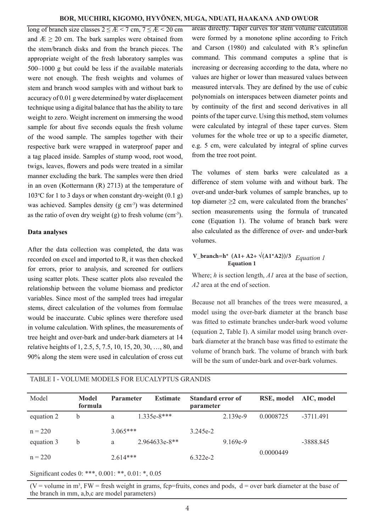## **BOR, MUCHIRI, KIGOMO, HYVÖNEN, MUGA, NDUATI, HAAKANA AND OWUOR**

long of branch size classes  $2 \leq E \leq 7$  cm,  $7 \leq E \leq 20$  cm and  $E \ge 20$  cm. The bark samples were obtained from the stem/branch disks and from the branch pieces. The appropriate weight of the fresh laboratory samples was 500–1000 g but could be less if the available materials were not enough. The fresh weights and volumes of stem and branch wood samples with and without bark to accuracy of 0.01 g were determined by water displacement technique using a digital balance that has the ability to tare weight to zero. Weight increment on immersing the wood sample for about five seconds equals the fresh volume of the wood sample. The samples together with their respective bark were wrapped in waterproof paper and a tag placed inside. Samples of stump wood, root wood, twigs, leaves, flowers and pods were treated in a similar manner excluding the bark. The samples were then dried in an oven (Kottermann (R) 2713) at the temperature of 103 $\degree$ C for 1 to 3 days or when constant dry-weight (0.1 g) was achieved. Samples density (g cm<sup>-3</sup>) was determined as the ratio of oven dry weight (g) to fresh volume  $(cm<sup>-3</sup>)$ .

#### **Data analyses**

After the data collection was completed, the data was recorded on excel and imported to R, it was then checked for errors, prior to analysis, and screened for outliers using scatter plots. These scatter plots also revealed the relationship between the volume biomass and predictor variables. Since most of the sampled trees had irregular stems, direct calculation of the volumes from formulae would be inaccurate. Cubic splines were therefore used in volume calculation. With splines, the measurements of tree height and over-bark and under-bark diameters at 14 relative heights of 1, 2.5, 5, 7.5, 10, 15, 20, 30, …, 80, and 90% along the stem were used in calculation of cross cut

TABLE I - VOLUME MODELS FOR EUCALYPTUS GRANDIS

areas directly. Taper curves for stem volume calculation were formed by a monotone spline according to Fritch and Carson (1980) and calculated with R's splinefun command. This command computes a spline that is increasing or decreasing according to the data, where no values are higher or lower than measured values between measured intervals. They are defined by the use of cubic polynomials on interspaces between diameter points and by continuity of the first and second derivatives in all points of the taper curve. Using this method, stem volumes were calculated by integral of these taper curves. Stem volumes for the whole tree or up to a specific diameter, e.g. 5 cm, were calculated by integral of spline curves from the tree root point.

The volumes of stem barks were calculated as a difference of stem volume with and without bark. The over-and under-bark volumes of sample branches, up to top diameter  $\geq 2$  cm, were calculated from the branches' section measurements using the formula of truncated cone (Equation 1). The volume of branch bark were also calculated as the difference of over- and under-bark volumes.

#### **V\_branch=h\*** (A1+ A2+ √(A1\*A2))/3  $E$ *quation 1* **Equation 1**

Where; *h* is section length, *A1* area at the base of section, *A2* area at the end of section.

Because not all branches of the trees were measured, a model using the over-bark diameter at the branch base was fitted to estimate branches under-bark wood volume (equation 2, Table I). A similar model using branch overbark diameter at the branch base was fitted to estimate the volume of branch bark. The volume of branch with bark will be the sum of under-bark and over-bark volumes.

| Model      | Model<br>formula | Parameter  | <b>Estimate</b> | <b>Standard error of</b><br>parameter |            | RSE, model | AIC, model  |  |
|------------|------------------|------------|-----------------|---------------------------------------|------------|------------|-------------|--|
| equation 2 | b                | a          | $1.335e-8***$   |                                       | 2.139e-9   | 0.0008725  | $-3711.491$ |  |
| $n = 220$  |                  | $3.065***$ |                 | 3.245e-2                              |            |            |             |  |
| equation 3 | b                | a          | $2.964633e-8**$ |                                       | $9.169e-9$ |            | -3888.845   |  |
| $n = 220$  |                  | $2.614***$ |                 | 6.322e-2                              |            | 0.0000449  |             |  |

Significant codes 0: \*\*\*, 0.001: \*\*, 0.01: \*, 0.05

 $(V =$  volume in m<sup>3</sup>, FW = fresh weight in grams, fcp=fruits, cones and pods,  $d =$  over bark diameter at the base of the branch in mm, a,b,c are model parameters)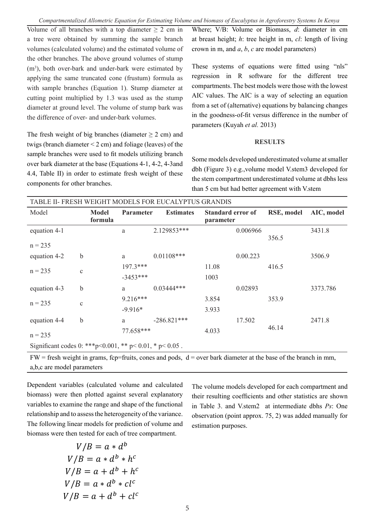Volume of all branches with a top diameter  $\geq 2$  cm in a tree were obtained by summing the sample branch volumes (calculated volume) and the estimated volume of the other branches. The above ground volumes of stump (m<sup>3</sup>), both over-bark and under-bark were estimated by applying the same truncated cone (frustum) formula as with sample branches (Equation 1). Stump diameter at cutting point multiplied by 1.3 was used as the stump diameter at ground level. The volume of stump bark was the difference of over- and under-bark volumes.

The fresh weight of big branches (diameter  $\geq 2$  cm) and twigs (branch diameter < 2 cm) and foliage (leaves) of the sample branches were used to fit models utilizing branch over bark diameter at the base (Equations 4-1, 4-2, 4-3and 4.4, Table II) in order to estimate fresh weight of these components for other branches.

Where; V/B: Volume or Biomass, *d*: diameter in cm at breast height; *h*: tree height in m, *cl*: length of living crown in m, and *a*, *b*, *c* are model parameters)

These systems of equations were fitted using "nls" regression in R software for the different tree compartments. The best models were those with the lowest AIC values. The AIC is a way of selecting an equation from a set of (alternative) equations by balancing changes in the goodness-of-fit versus difference in the number of parameters (Kuyah *et al.* 2013)

#### **RESULTS**

Some models developed underestimated volume at smaller dbh (Figure 3) e.g.,volume model V.stem3 developed for the stem compartment underestimated volume at dbhs less than 5 cm but had better agreement with V.stem

| TABLE II- FRESH WEIGHT MODELS FOR EUCALYPTUS GRANDIS         |                  |                                      |               |                                       |            |            |  |  |
|--------------------------------------------------------------|------------------|--------------------------------------|---------------|---------------------------------------|------------|------------|--|--|
| Model                                                        | Model<br>formula | <b>Estimates</b><br><b>Parameter</b> |               | <b>Standard error of</b><br>parameter | RSE, model | AIC, model |  |  |
| equation 4-1                                                 |                  | a                                    | 2.129853***   | 0.006966                              | 356.5      | 3431.8     |  |  |
| $n = 235$                                                    |                  |                                      |               |                                       |            |            |  |  |
| equation 4-2                                                 | b                | a                                    | $0.01108***$  | 0.00.223                              |            | 3506.9     |  |  |
| $n = 235$                                                    | $\mathbf{c}$     | $197.3***$                           |               | 11.08                                 | 416.5      |            |  |  |
|                                                              |                  | $-3453***$                           |               | 1003                                  |            |            |  |  |
| equation 4-3                                                 | b                | a                                    | $0.03444***$  | 0.02893                               |            | 3373.786   |  |  |
| $n = 235$                                                    | $\mathbf{c}$     | $9.216***$                           |               | 3.854                                 | 353.9      |            |  |  |
|                                                              |                  | $-9.916*$                            |               | 3.933                                 |            |            |  |  |
| equation 4-4                                                 | b                | a                                    | $-286.821***$ | 17.502                                |            | 2471.8     |  |  |
| $n = 235$                                                    |                  | 77.658***                            |               | 4.033                                 | 46.14      |            |  |  |
| Significant codes 0: *** p < 0.001, ** p < 0.01, * p < 0.05. |                  |                                      |               |                                       |            |            |  |  |

 $FW =$  fresh weight in grams, fcp=fruits, cones and pods,  $d =$  over bark diameter at the base of the branch in mm, a,b,c are model parameters

Dependent variables (calculated volume and calculated biomass) were then plotted against several explanatory variables to examine the range and shape of the functional relationship and to assess the heterogeneity of the variance. The following linear models for prediction of volume and biomass were then tested for each of tree compartment.

$$
V/B = a * db
$$
  
\n
$$
V/B = a * db * hc
$$
  
\n
$$
V/B = a + db + hc
$$
  
\n
$$
V/B = a * db * c lc
$$
  
\n
$$
V/B = a + db + c lc
$$

The volume models developed for each compartment and their resulting coefficients and other statistics are shown in Table 3. and V.stem2 at intermediate dbhs *Ps*: One observation (point approx. 75, 2) was added manually for estimation purposes.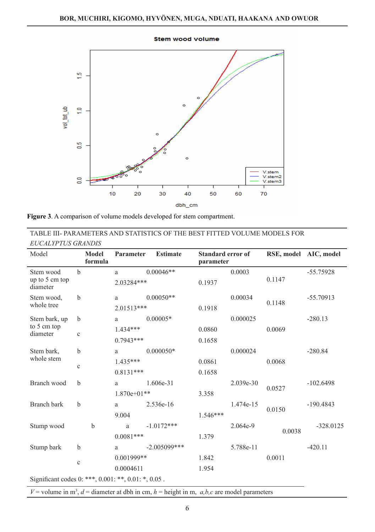

**Figure 3**. A comparison of volume models developed for stem compartment.

| LUCALIF I US URANDIS                                |              |                         |               |                 |                                       |           |                       |             |
|-----------------------------------------------------|--------------|-------------------------|---------------|-----------------|---------------------------------------|-----------|-----------------------|-------------|
| Model                                               |              | <b>Model</b><br>formula | Parameter     | <b>Estimate</b> | <b>Standard error of</b><br>parameter |           | RSE, model AIC, model |             |
| Stem wood                                           | $\mathbf b$  |                         | a             | $0.00046**$     |                                       | 0.0003    |                       | $-55.75928$ |
| up to 5 cm top<br>diameter                          |              |                         | 2.03284***    |                 | 0.1937                                | 0.1147    |                       |             |
| Stem wood,<br>whole tree                            | b            |                         | a             | $0.00050**$     |                                       | 0.00034   |                       | $-55.70913$ |
|                                                     |              |                         | 2.01513***    |                 | 0.1918                                |           | 0.1148                |             |
| Stem bark, up                                       | b            |                         | a             | $0.00005*$      |                                       | 0.000025  |                       | $-280.13$   |
| to 5 cm top<br>diameter                             |              |                         | 1.434***      |                 | 0.0860                                | 0.0069    |                       |             |
|                                                     | $\mathbf c$  |                         | $0.7943***$   |                 | 0.1658                                |           |                       |             |
| Stem bark.<br>whole stem                            | b            |                         | a             | $0.000050*$     |                                       | 0.000024  |                       | $-280.84$   |
|                                                     | $\mathbf c$  |                         | 1.435***      |                 | 0.0861                                |           | 0.0068                |             |
|                                                     |              |                         | $0.8131***$   |                 | 0.1658                                |           |                       |             |
| Branch wood                                         | b            |                         | a             | 1.606e-31       |                                       | 2.039e-30 | 0.0527                | $-102.6498$ |
|                                                     |              |                         | $1.870e+01**$ |                 | 3.358                                 |           |                       |             |
| Branch bark                                         | b            |                         | a             | 2.536e-16       |                                       | 1.474e-15 | 0.0150                | $-190.4843$ |
|                                                     |              |                         | 9.004         |                 | 1.546***                              |           |                       |             |
| Stump wood                                          |              | b                       | a             | $-1.0172***$    |                                       | 2.064e-9  | 0.0038                | $-328.0125$ |
|                                                     |              |                         | $0.0081***$   |                 | 1.379                                 |           |                       |             |
| Stump bark                                          | b            |                         | a             | $-2.005099***$  |                                       | 5.788e-11 |                       | $-420.11$   |
|                                                     | $\mathbf{C}$ |                         | $0.001999**$  |                 | 1.842                                 |           | 0.0011                |             |
|                                                     |              |                         | 0.0004611     |                 | 1.954                                 |           |                       |             |
| Significant codes 0: ***, 0.001: **, 0.01: *, 0.05. |              |                         |               |                 |                                       |           |                       |             |
|                                                     |              |                         |               |                 |                                       |           |                       |             |

TABLE III- PARAMETERS AND STATISTICS OF THE BEST FITTED VOLUME MODELS FOR *EUCALYPTUS GRANDIS*

 $V =$  volume in m<sup>3</sup>,  $d =$  diameter at dbh in cm,  $h =$  height in m,  $a, b, c$  are model parameters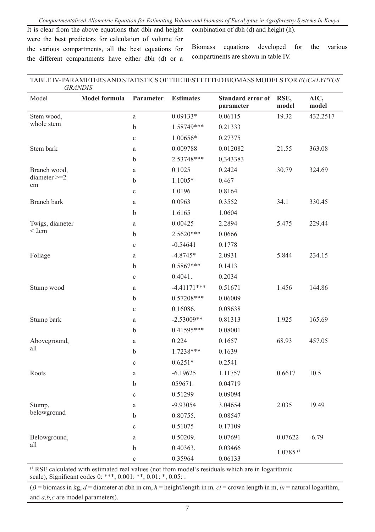*Compartmentalized Allometric Equation for Estimating Volume and biomass of Eucalyptus in Agroforestry Systems In Kenya*

It is clear from the above equations that dbh and height were the best predictors for calculation of volume for the various compartments, all the best equations for the different compartments have either dbh (d) or a

combination of dbh (d) and height (h).

Biomass equations developed for the various compartments are shown in table IV.

### TABLE IV- PARAMETERS AND STATISTICS OF THE BEST FITTED BIOMASS MODELS FOR *EUCALYPTUS GRANDIS*

| Model                | <b>Model formula</b> | Parameter   | <b>Estimates</b> | <b>Standard error of</b><br>parameter | RSE,<br>model           | AIC,<br>model |
|----------------------|----------------------|-------------|------------------|---------------------------------------|-------------------------|---------------|
| Stem wood,           |                      | a           | 0.09133*         | 0.06115                               | 19.32                   | 432.2517      |
| whole stem           |                      | b           | 1.58749***       | 0.21333                               |                         |               |
|                      |                      | $\mathbf c$ | $1.00656*$       | 0.27375                               |                         |               |
| Stem bark            |                      | a           | 0.009788         | 0.012082                              | 21.55                   | 363.08        |
|                      |                      | h           | 2.53748***       | 0,343383                              |                         |               |
| Branch wood,         |                      | a           | 0.1025           | 0.2424                                | 30.79                   | 324.69        |
| $diameter = 2$<br>cm |                      | b           | 1.1005*          | 0.467                                 |                         |               |
|                      |                      | $\mathbf c$ | 1.0196           | 0.8164                                |                         |               |
| Branch bark          |                      | a           | 0.0963           | 0.3552                                | 34.1                    | 330.45        |
|                      |                      | b           | 1.6165           | 1.0604                                |                         |               |
| Twigs, diameter      |                      | a           | 0.00425          | 2.2894                                | 5.475                   | 229.44        |
| $<$ 2cm              |                      | b           | 2.5620***        | 0.0666                                |                         |               |
|                      |                      | $\mathbf c$ | $-0.54641$       | 0.1778                                |                         |               |
| Foliage              |                      | a           | $-4.8745*$       | 2.0931                                | 5.844                   | 234.15        |
|                      |                      | h           | $0.5867***$      | 0.1413                                |                         |               |
|                      |                      | $\mathbf c$ | 0.4041.          | 0.2034                                |                         |               |
| Stump wood           |                      | a           | $-4.41171***$    | 0.51671                               | 1.456                   | 144.86        |
|                      |                      | b           | 0.57208***       | 0.06009                               |                         |               |
|                      |                      | $\mathbf c$ | 0.16086.         | 0.08638                               |                         |               |
| Stump bark           |                      | a           | $-2.53009**$     | 0.81313                               | 1.925                   | 165.69        |
|                      |                      | b           | 0.41595***       | 0.08001                               |                         |               |
| Aboveground,         |                      | a           | 0.224            | 0.1657                                | 68.93                   | 457.05        |
| all                  |                      | b           | 1.7238***        | 0.1639                                |                         |               |
|                      |                      | $\mathbf c$ | $0.6251*$        | 0.2541                                |                         |               |
| Roots                |                      | a           | $-6.19625$       | 1.11757                               | 0.6617                  | 10.5          |
|                      |                      | b           | 059671.          | 0.04719                               |                         |               |
|                      |                      | $\mathbf c$ | 0.51299          | 0.09094                               |                         |               |
| Stump,               |                      | a           | $-9.93054$       | 3.04654                               | 2.035                   | 19.49         |
| belowground          |                      | b           | 0.80755.         | 0.08547                               |                         |               |
|                      |                      | $\mathbf c$ | 0.51075          | 0.17109                               |                         |               |
| Belowground,         |                      | a           | 0.50209.         | 0.07691                               | 0.07622                 | $-6.79$       |
| all                  |                      | b           | 0.40363.         | 0.03466                               | $1.0785$ <sup>(1)</sup> |               |
|                      |                      | $\mathbf c$ | 0.35964          | 0.06133                               |                         |               |

(1 RSE calculated with estimated real values (not from model's residuals which are in logarithmic scale), Significant codes 0: \*\*\*, 0.001: \*\*, 0.01: \*, 0.05: .

 $(B = \text{biomass in kg}, d = \text{diameter at dbh in cm}, h = \text{height/length in m}, cl = \text{rown length in m}, l = \text{natural logarithm},$ and *a,b,c* are model parameters).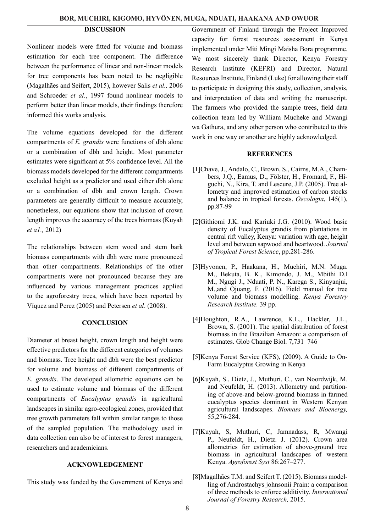# **DISCUSSION**

Nonlinear models were fitted for volume and biomass estimation for each tree component. The difference between the performance of linear and non-linear models for tree components has been noted to be negligible (Magalhães and Seifert, 2015), however Salis *et al.,* 2006 and Schroeder *et al*., 1997 found nonlinear models to perform better than linear models, their findings therefore informed this works analysis.

The volume equations developed for the different compartments of *E. grandis* were functions of dbh alone or a combination of dbh and height. Most parameter estimates were significant at 5% confidence level. All the biomass models developed for the different compartments excluded height as a predictor and used either dbh alone or a combination of dbh and crown length. Crown parameters are generally difficult to measure accurately, nonetheless, our equations show that inclusion of crown length improves the accuracy of the trees biomass (Kuyah *et a1.,* 2012)

The relationships between stem wood and stem bark biomass compartments with dbh were more pronounced than other compartments. Relationships of the other compartments were not pronounced because they are influenced by various management practices applied to the agroforestry trees, which have been reported by Víquez and Perez (2005) and Petersen *et al*. (2008).

## **CONCLUSION**

Diameter at breast height, crown length and height were effective predictors for the different categories of volumes and biomass. Tree height and dbh were the best predictor for volume and biomass of different compartments of *E. grandis*. The developed allometric equations can be used to estimate volume and biomass of the different compartments of *Eucalyptus grandis* in agricultural landscapes in similar agro-ecological zones, provided that tree growth parameters fall within similar ranges to those of the sampled population. The methodology used in data collection can also be of interest to forest managers, researchers and academicians.

## **ACKNOWLEDGEMENT**

This study was funded by the Government of Kenya and

Government of Finland through the Project Improved capacity for forest resources assessment in Kenya implemented under Miti Mingi Maisha Bora programme. We most sincerely thank Director, Kenya Forestry Research Institute (KEFRI) and Director, Natural Resources Institute, Finland (Luke) for allowing their staff to participate in designing this study, collection, analysis, and interpretation of data and writing the manuscript. The farmers who provided the sample trees, field data collection team led by William Mucheke and Mwangi wa Gathura, and any other person who contributed to this work in one way or another are highly acknowledged.

#### **REFERENCES**

- [1]Chave, J., Andalo, C., Brown, S., Cairns, M.A., Chambers, J.Q., Eamus, D., Fölster, H., Fromard, F., Higuchi, N., Kira, T. and Lescure, J.P. (2005). Tree allometry and improved estimation of carbon stocks and balance in tropical forests. *Oecologia*, 145(1), pp.87-99
- [2]Githiomi J.K. and Kariuki J.G. (2010). Wood basic density of Eucalyptus grandis from plantations in central rift valley, Kenya: variation with age, height level and between sapwood and heartwood. *Journal of Tropical Forest Science*, pp.281-286.
- [3]Hyvonen, P., Haakana, H., Muchiri, M.N. Muga. M., Bekuta, B. K., Kimondo, J. M., Mbithi D.l M., Ngugi J., Nduati, P. N., Karega S., Kinyanjui, M.,and Ojuang, F. (2016). Field manual for tree volume and biomass modelling. *Kenya Forestry Research Institute.* 39 pp.
- [4]Houghton, R.A., Lawrence, K.L., Hackler, J.L., Brown, S. (2001). The spatial distribution of forest biomass in the Brazilian Amazon: a comparison of estimates. Glob Change Biol. 7,731–746
- [5]Kenya Forest Service (KFS), (2009). A Guide to On-Farm Eucalyptus Growing in Kenya
- [6]Kuyah, S., Dietz, J., Muthuri, C., van Noordwijk, M. and Neufeldt, H. (2013). Allometry and partitioning of above-and below-ground biomass in farmed eucalyptus species dominant in Western Kenyan agricultural landscapes. *Biomass and Bioenergy,*  55,276-284.
- [7]Kuyah, S, Muthuri, C, Jamnadass, R, Mwangi P., Neufeldt, H., Dietz. J. (2012). Crown area allometries for estimation of above-ground tree biomass in agricultural landscapes of western Kenya. *Agroforest Syst* 86:267–277.
- [8]Magalhães T.M. and Seifert T. (2015). Biomass modelling of Androstachys johnsonii Prain: a comparison of three methods to enforce additivity. *International Journal of Forestry Research,* 2015.